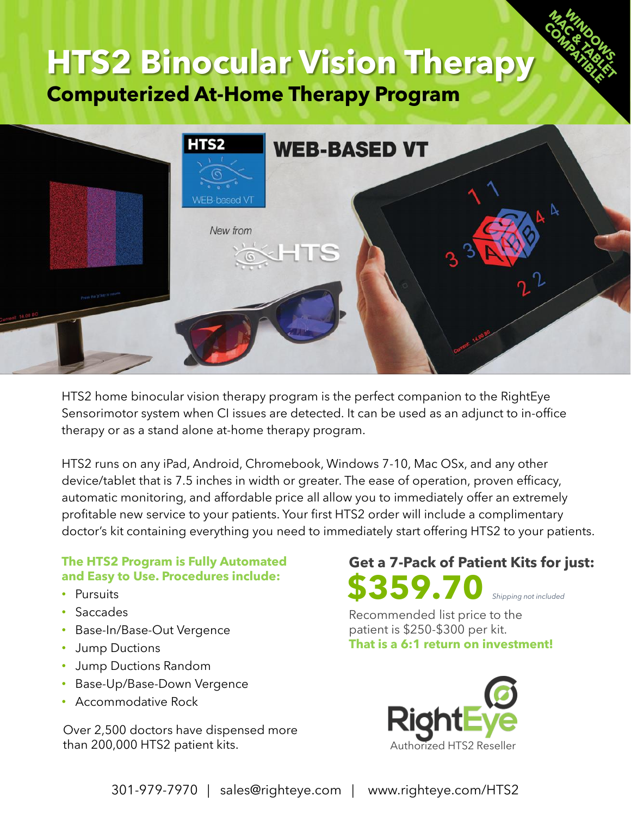# **HTS2 Binocular Vision Therapy**

**Computerized At-Home Therapy Program** 



HTS2 home binocular vision therapy program is the perfect companion to the RightEye Sensorimotor system when CI issues are detected. It can be used as an adjunct to in-office therapy or as a stand alone at-home therapy program.

HTS2 runs on any iPad, Android, Chromebook, Windows 7-10, Mac OSx, and any other device/tablet that is 7.5 inches in width or greater. The ease of operation, proven efficacy, automatic monitoring, and affordable price all allow you to immediately offer an extremely profitable new service to your patients. Your first HTS2 order will include a complimentary doctor's kit containing everything you need to immediately start offering HTS2 to your patients.

## **The HTS2 Program is Fully Automated and Easy to Use. Procedures include:**

- Pursuits
- Saccades
- Base-In/Base-Out Vergence
- Jump Ductions
- Jump Ductions Random
- Base-Up/Base-Down Vergence
- Accommodative Rock

Over 2,500 doctors have dispensed more than 200,000 HTS2 patient kits.

## **\$359.70 Get a 7-Pack of Patient Kits for just:** *Shipping not included*

Recommended list price to the patient is \$250-\$300 per kit. **That is a 6:1 return on investment!**